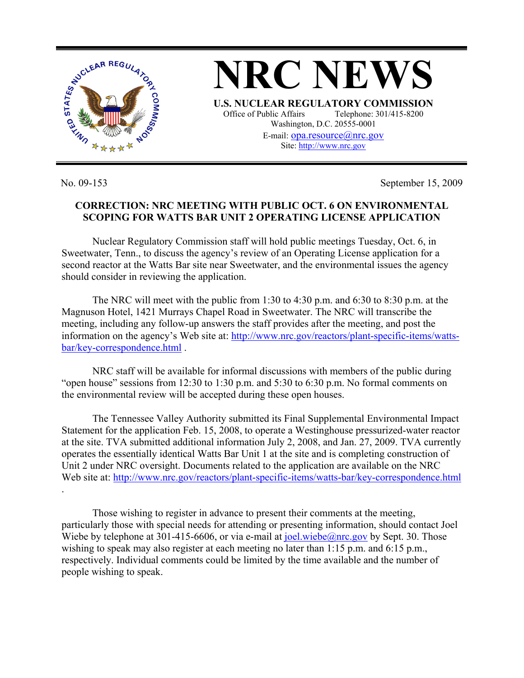

No. 09-153 September 15, 2009

## **CORRECTION: NRC MEETING WITH PUBLIC OCT. 6 ON ENVIRONMENTAL SCOPING FOR WATTS BAR UNIT 2 OPERATING LICENSE APPLICATION**

 Nuclear Regulatory Commission staff will hold public meetings Tuesday, Oct. 6, in Sweetwater, Tenn., to discuss the agency's review of an Operating License application for a second reactor at the Watts Bar site near Sweetwater, and the environmental issues the agency should consider in reviewing the application.

 The NRC will meet with the public from 1:30 to 4:30 p.m. and 6:30 to 8:30 p.m. at the Magnuson Hotel, 1421 Murrays Chapel Road in Sweetwater. The NRC will transcribe the meeting, including any follow-up answers the staff provides after the meeting, and post the information on the agency's Web site at: http://www.nrc.gov/reactors/plant-specific-items/wattsbar/key-correspondence.html .

NRC staff will be available for informal discussions with members of the public during "open house" sessions from 12:30 to 1:30 p.m. and 5:30 to 6:30 p.m. No formal comments on the environmental review will be accepted during these open houses.

The Tennessee Valley Authority submitted its Final Supplemental Environmental Impact Statement for the application Feb. 15, 2008, to operate a Westinghouse pressurized-water reactor at the site. TVA submitted additional information July 2, 2008, and Jan. 27, 2009. TVA currently operates the essentially identical Watts Bar Unit 1 at the site and is completing construction of Unit 2 under NRC oversight. Documents related to the application are available on the NRC Web site at: http://www.nrc.gov/reactors/plant-specific-items/watts-bar/key-correspondence.html .

 Those wishing to register in advance to present their comments at the meeting, particularly those with special needs for attending or presenting information, should contact Joel Wiebe by telephone at 301-415-6606, or via e-mail at  $\frac{\text{jolel}, \text{wiebe}(\partial \text{mc}, \text{gov}}{\text{pv}}$  by Sept. 30. Those wishing to speak may also register at each meeting no later than 1:15 p.m. and 6:15 p.m., respectively. Individual comments could be limited by the time available and the number of people wishing to speak.